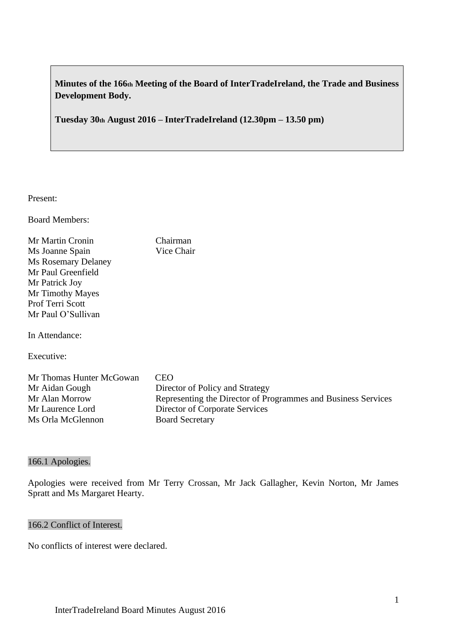**Minutes of the 166th Meeting of the Board of InterTradeIreland, the Trade and Business Development Body.**

**Tuesday 30th August 2016 – InterTradeIreland (12.30pm – 13.50 pm)**

Present:

Board Members:

Mr Martin Cronin Chairman Ms Joanne Spain Vice Chair Ms Rosemary Delaney Mr Paul Greenfield Mr Patrick Joy Mr Timothy Mayes Prof Terri Scott Mr Paul O'Sullivan

In Attendance:

Executive:

| Mr Thomas Hunter McGowan | <b>CEO</b>                                                    |
|--------------------------|---------------------------------------------------------------|
| Mr Aidan Gough           | Director of Policy and Strategy                               |
| Mr Alan Morrow           | Representing the Director of Programmes and Business Services |
| Mr Laurence Lord         | Director of Corporate Services                                |
| Ms Orla McGlennon        | <b>Board Secretary</b>                                        |

## 166.1 Apologies.

Apologies were received from Mr Terry Crossan, Mr Jack Gallagher, Kevin Norton, Mr James Spratt and Ms Margaret Hearty.

#### 166.2 Conflict of Interest.

No conflicts of interest were declared.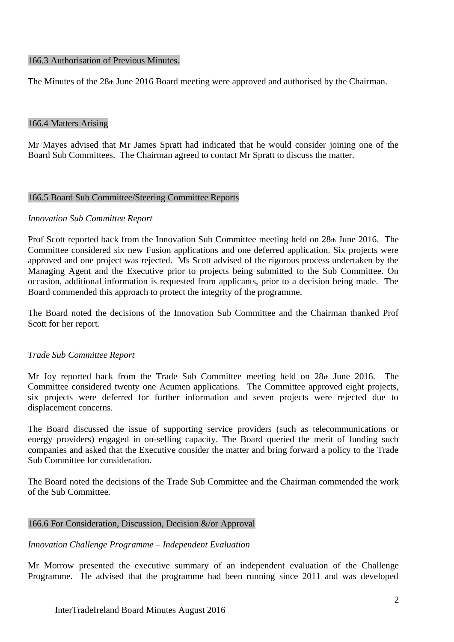#### 166.3 Authorisation of Previous Minutes.

The Minutes of the 28th June 2016 Board meeting were approved and authorised by the Chairman.

#### 166.4 Matters Arising

Mr Mayes advised that Mr James Spratt had indicated that he would consider joining one of the Board Sub Committees. The Chairman agreed to contact Mr Spratt to discuss the matter.

#### 166.5 Board Sub Committee/Steering Committee Reports

#### *Innovation Sub Committee Report*

Prof Scott reported back from the Innovation Sub Committee meeting held on  $28<sub>th</sub>$  June 2016. The Committee considered six new Fusion applications and one deferred application. Six projects were approved and one project was rejected. Ms Scott advised of the rigorous process undertaken by the Managing Agent and the Executive prior to projects being submitted to the Sub Committee. On occasion, additional information is requested from applicants, prior to a decision being made. The Board commended this approach to protect the integrity of the programme.

The Board noted the decisions of the Innovation Sub Committee and the Chairman thanked Prof Scott for her report.

## *Trade Sub Committee Report*

Mr Joy reported back from the Trade Sub Committee meeting held on 28th June 2016. The Committee considered twenty one Acumen applications. The Committee approved eight projects, six projects were deferred for further information and seven projects were rejected due to displacement concerns.

The Board discussed the issue of supporting service providers (such as telecommunications or energy providers) engaged in on-selling capacity. The Board queried the merit of funding such companies and asked that the Executive consider the matter and bring forward a policy to the Trade Sub Committee for consideration.

The Board noted the decisions of the Trade Sub Committee and the Chairman commended the work of the Sub Committee.

## 166.6 For Consideration, Discussion, Decision &/or Approval

## *Innovation Challenge Programme – Independent Evaluation*

Mr Morrow presented the executive summary of an independent evaluation of the Challenge Programme. He advised that the programme had been running since 2011 and was developed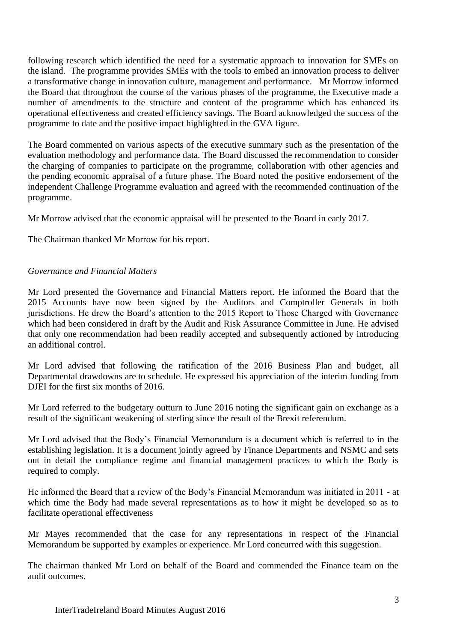following research which identified the need for a systematic approach to innovation for SMEs on the island. The programme provides SMEs with the tools to embed an innovation process to deliver a transformative change in innovation culture, management and performance. Mr Morrow informed the Board that throughout the course of the various phases of the programme, the Executive made a number of amendments to the structure and content of the programme which has enhanced its operational effectiveness and created efficiency savings. The Board acknowledged the success of the programme to date and the positive impact highlighted in the GVA figure.

The Board commented on various aspects of the executive summary such as the presentation of the evaluation methodology and performance data. The Board discussed the recommendation to consider the charging of companies to participate on the programme, collaboration with other agencies and the pending economic appraisal of a future phase. The Board noted the positive endorsement of the independent Challenge Programme evaluation and agreed with the recommended continuation of the programme.

Mr Morrow advised that the economic appraisal will be presented to the Board in early 2017.

The Chairman thanked Mr Morrow for his report.

# *Governance and Financial Matters*

Mr Lord presented the Governance and Financial Matters report. He informed the Board that the 2015 Accounts have now been signed by the Auditors and Comptroller Generals in both jurisdictions. He drew the Board's attention to the 2015 Report to Those Charged with Governance which had been considered in draft by the Audit and Risk Assurance Committee in June. He advised that only one recommendation had been readily accepted and subsequently actioned by introducing an additional control.

Mr Lord advised that following the ratification of the 2016 Business Plan and budget, all Departmental drawdowns are to schedule. He expressed his appreciation of the interim funding from DJEI for the first six months of 2016.

Mr Lord referred to the budgetary outturn to June 2016 noting the significant gain on exchange as a result of the significant weakening of sterling since the result of the Brexit referendum.

Mr Lord advised that the Body's Financial Memorandum is a document which is referred to in the establishing legislation. It is a document jointly agreed by Finance Departments and NSMC and sets out in detail the compliance regime and financial management practices to which the Body is required to comply.

He informed the Board that a review of the Body's Financial Memorandum was initiated in 2011 - at which time the Body had made several representations as to how it might be developed so as to facilitate operational effectiveness

Mr Mayes recommended that the case for any representations in respect of the Financial Memorandum be supported by examples or experience. Mr Lord concurred with this suggestion.

The chairman thanked Mr Lord on behalf of the Board and commended the Finance team on the audit outcomes.